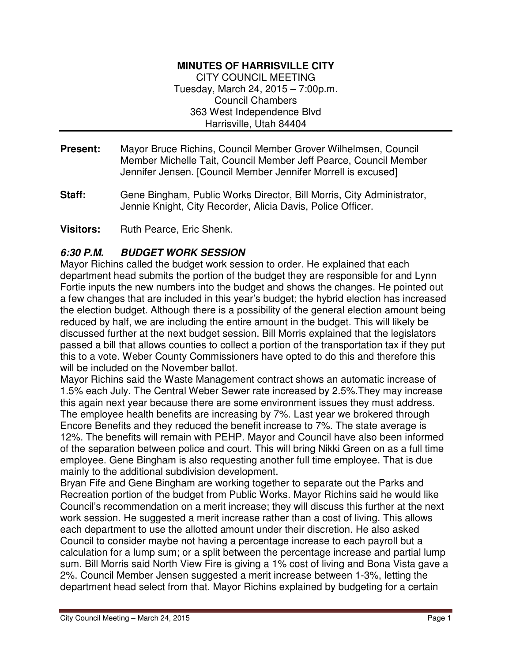#### **MINUTES OF HARRISVILLE CITY**

CITY COUNCIL MEETING Tuesday, March 24, 2015 – 7:00p.m. Council Chambers 363 West Independence Blvd Harrisville, Utah 84404

- **Present:** Mayor Bruce Richins, Council Member Grover Wilhelmsen, Council Member Michelle Tait, Council Member Jeff Pearce, Council Member Jennifer Jensen. [Council Member Jennifer Morrell is excused]
- **Staff:** Gene Bingham, Public Works Director, Bill Morris, City Administrator, Jennie Knight, City Recorder, Alicia Davis, Police Officer.

**Visitors:** Ruth Pearce, Eric Shenk.

#### **6:30 P.M. BUDGET WORK SESSION**

Mayor Richins called the budget work session to order. He explained that each department head submits the portion of the budget they are responsible for and Lynn Fortie inputs the new numbers into the budget and shows the changes. He pointed out a few changes that are included in this year's budget; the hybrid election has increased the election budget. Although there is a possibility of the general election amount being reduced by half, we are including the entire amount in the budget. This will likely be discussed further at the next budget session. Bill Morris explained that the legislators passed a bill that allows counties to collect a portion of the transportation tax if they put this to a vote. Weber County Commissioners have opted to do this and therefore this will be included on the November ballot.

Mayor Richins said the Waste Management contract shows an automatic increase of 1.5% each July. The Central Weber Sewer rate increased by 2.5%.They may increase this again next year because there are some environment issues they must address. The employee health benefits are increasing by 7%. Last year we brokered through Encore Benefits and they reduced the benefit increase to 7%. The state average is 12%. The benefits will remain with PEHP. Mayor and Council have also been informed of the separation between police and court. This will bring Nikki Green on as a full time employee. Gene Bingham is also requesting another full time employee. That is due mainly to the additional subdivision development.

Bryan Fife and Gene Bingham are working together to separate out the Parks and Recreation portion of the budget from Public Works. Mayor Richins said he would like Council's recommendation on a merit increase; they will discuss this further at the next work session. He suggested a merit increase rather than a cost of living. This allows each department to use the allotted amount under their discretion. He also asked Council to consider maybe not having a percentage increase to each payroll but a calculation for a lump sum; or a split between the percentage increase and partial lump sum. Bill Morris said North View Fire is giving a 1% cost of living and Bona Vista gave a 2%. Council Member Jensen suggested a merit increase between 1-3%, letting the department head select from that. Mayor Richins explained by budgeting for a certain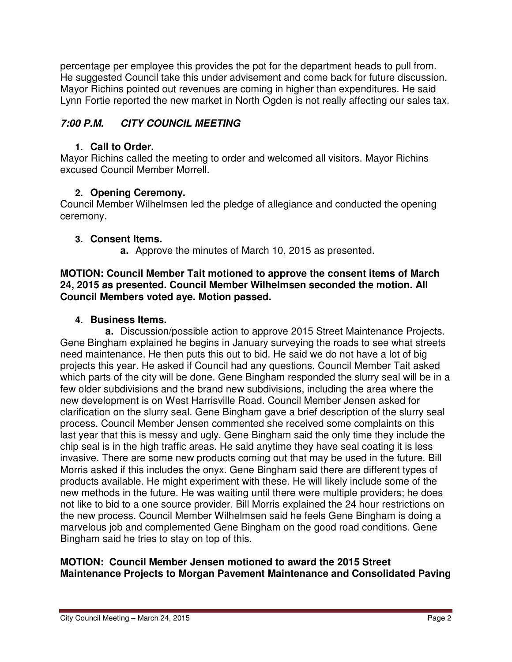percentage per employee this provides the pot for the department heads to pull from. He suggested Council take this under advisement and come back for future discussion. Mayor Richins pointed out revenues are coming in higher than expenditures. He said Lynn Fortie reported the new market in North Ogden is not really affecting our sales tax.

## **7:00 P.M. CITY COUNCIL MEETING**

#### **1. Call to Order.**

Mayor Richins called the meeting to order and welcomed all visitors. Mayor Richins excused Council Member Morrell.

## **2. Opening Ceremony.**

Council Member Wilhelmsen led the pledge of allegiance and conducted the opening ceremony.

## **3. Consent Items.**

**a.** Approve the minutes of March 10, 2015 as presented.

#### **MOTION: Council Member Tait motioned to approve the consent items of March 24, 2015 as presented. Council Member Wilhelmsen seconded the motion. All Council Members voted aye. Motion passed.**

## **4. Business Items.**

**a.** Discussion/possible action to approve 2015 Street Maintenance Projects. Gene Bingham explained he begins in January surveying the roads to see what streets need maintenance. He then puts this out to bid. He said we do not have a lot of big projects this year. He asked if Council had any questions. Council Member Tait asked which parts of the city will be done. Gene Bingham responded the slurry seal will be in a few older subdivisions and the brand new subdivisions, including the area where the new development is on West Harrisville Road. Council Member Jensen asked for clarification on the slurry seal. Gene Bingham gave a brief description of the slurry seal process. Council Member Jensen commented she received some complaints on this last year that this is messy and ugly. Gene Bingham said the only time they include the chip seal is in the high traffic areas. He said anytime they have seal coating it is less invasive. There are some new products coming out that may be used in the future. Bill Morris asked if this includes the onyx. Gene Bingham said there are different types of products available. He might experiment with these. He will likely include some of the new methods in the future. He was waiting until there were multiple providers; he does not like to bid to a one source provider. Bill Morris explained the 24 hour restrictions on the new process. Council Member Wilhelmsen said he feels Gene Bingham is doing a marvelous job and complemented Gene Bingham on the good road conditions. Gene Bingham said he tries to stay on top of this.

#### **MOTION: Council Member Jensen motioned to award the 2015 Street Maintenance Projects to Morgan Pavement Maintenance and Consolidated Paving**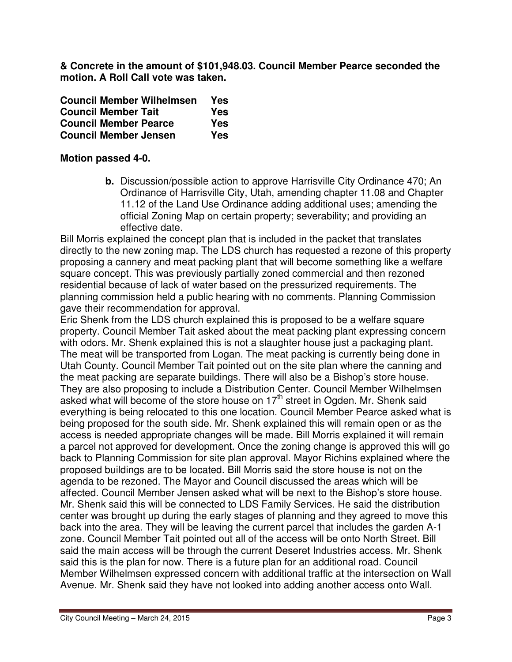**& Concrete in the amount of \$101,948.03. Council Member Pearce seconded the motion. A Roll Call vote was taken.** 

| <b>Council Member Wilhelmsen</b> | Yes |
|----------------------------------|-----|
| <b>Council Member Tait</b>       | Yes |
| <b>Council Member Pearce</b>     | Yes |
| <b>Council Member Jensen</b>     | Yes |

#### **Motion passed 4-0.**

**b.** Discussion/possible action to approve Harrisville City Ordinance 470; An Ordinance of Harrisville City, Utah, amending chapter 11.08 and Chapter 11.12 of the Land Use Ordinance adding additional uses; amending the official Zoning Map on certain property; severability; and providing an effective date.

Bill Morris explained the concept plan that is included in the packet that translates directly to the new zoning map. The LDS church has requested a rezone of this property proposing a cannery and meat packing plant that will become something like a welfare square concept. This was previously partially zoned commercial and then rezoned residential because of lack of water based on the pressurized requirements. The planning commission held a public hearing with no comments. Planning Commission gave their recommendation for approval.

Eric Shenk from the LDS church explained this is proposed to be a welfare square property. Council Member Tait asked about the meat packing plant expressing concern with odors. Mr. Shenk explained this is not a slaughter house just a packaging plant. The meat will be transported from Logan. The meat packing is currently being done in Utah County. Council Member Tait pointed out on the site plan where the canning and the meat packing are separate buildings. There will also be a Bishop's store house. They are also proposing to include a Distribution Center. Council Member WiIhelmsen asked what will become of the store house on  $17<sup>th</sup>$  street in Ogden. Mr. Shenk said everything is being relocated to this one location. Council Member Pearce asked what is being proposed for the south side. Mr. Shenk explained this will remain open or as the access is needed appropriate changes will be made. Bill Morris explained it will remain a parcel not approved for development. Once the zoning change is approved this will go back to Planning Commission for site plan approval. Mayor Richins explained where the proposed buildings are to be located. Bill Morris said the store house is not on the agenda to be rezoned. The Mayor and Council discussed the areas which will be affected. Council Member Jensen asked what will be next to the Bishop's store house. Mr. Shenk said this will be connected to LDS Family Services. He said the distribution center was brought up during the early stages of planning and they agreed to move this back into the area. They will be leaving the current parcel that includes the garden A-1 zone. Council Member Tait pointed out all of the access will be onto North Street. Bill said the main access will be through the current Deseret Industries access. Mr. Shenk said this is the plan for now. There is a future plan for an additional road. Council Member Wilhelmsen expressed concern with additional traffic at the intersection on Wall Avenue. Mr. Shenk said they have not looked into adding another access onto Wall.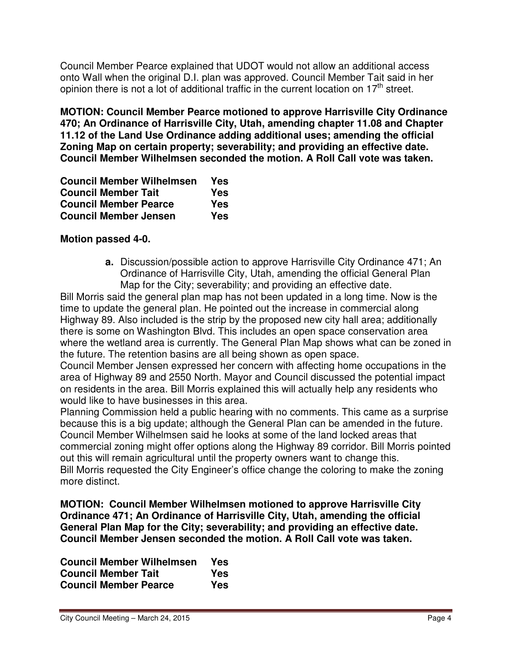Council Member Pearce explained that UDOT would not allow an additional access onto Wall when the original D.I. plan was approved. Council Member Tait said in her opinion there is not a lot of additional traffic in the current location on  $17<sup>th</sup>$  street.

**MOTION: Council Member Pearce motioned to approve Harrisville City Ordinance 470; An Ordinance of Harrisville City, Utah, amending chapter 11.08 and Chapter 11.12 of the Land Use Ordinance adding additional uses; amending the official Zoning Map on certain property; severability; and providing an effective date. Council Member Wilhelmsen seconded the motion. A Roll Call vote was taken.** 

| <b>Council Member Wilhelmsen</b> | Yes |
|----------------------------------|-----|
| <b>Council Member Tait</b>       | Yes |
| <b>Council Member Pearce</b>     | Yes |
| <b>Council Member Jensen</b>     | Yes |

#### **Motion passed 4-0.**

**a.** Discussion/possible action to approve Harrisville City Ordinance 471; An Ordinance of Harrisville City, Utah, amending the official General Plan Map for the City; severability; and providing an effective date.

Bill Morris said the general plan map has not been updated in a long time. Now is the time to update the general plan. He pointed out the increase in commercial along Highway 89. Also included is the strip by the proposed new city hall area; additionally there is some on Washington Blvd. This includes an open space conservation area where the wetland area is currently. The General Plan Map shows what can be zoned in the future. The retention basins are all being shown as open space.

Council Member Jensen expressed her concern with affecting home occupations in the area of Highway 89 and 2550 North. Mayor and Council discussed the potential impact on residents in the area. Bill Morris explained this will actually help any residents who would like to have businesses in this area.

Planning Commission held a public hearing with no comments. This came as a surprise because this is a big update; although the General Plan can be amended in the future. Council Member Wilhelmsen said he looks at some of the land locked areas that commercial zoning might offer options along the Highway 89 corridor. Bill Morris pointed out this will remain agricultural until the property owners want to change this. Bill Morris requested the City Engineer's office change the coloring to make the zoning more distinct.

**MOTION: Council Member Wilhelmsen motioned to approve Harrisville City Ordinance 471; An Ordinance of Harrisville City, Utah, amending the official General Plan Map for the City; severability; and providing an effective date. Council Member Jensen seconded the motion. A Roll Call vote was taken.** 

| <b>Council Member Wilhelmsen</b> | Yes |
|----------------------------------|-----|
| <b>Council Member Tait</b>       | Yes |
| <b>Council Member Pearce</b>     | Yes |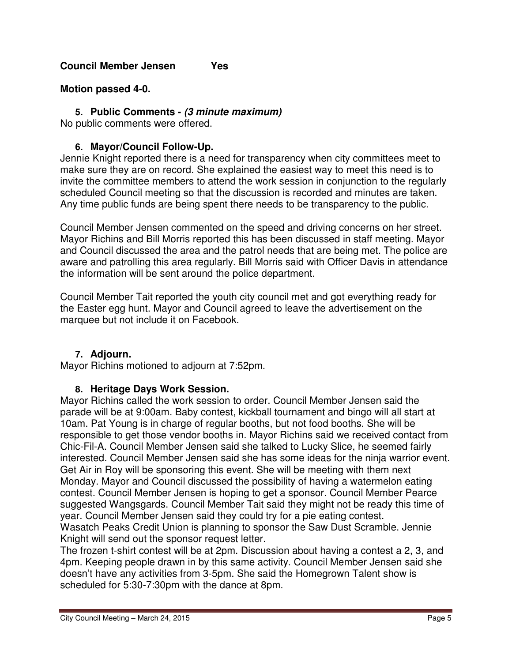#### **Motion passed 4-0.**

#### **5. Public Comments - (3 minute maximum)**

No public comments were offered.

### **6. Mayor/Council Follow-Up.**

Jennie Knight reported there is a need for transparency when city committees meet to make sure they are on record. She explained the easiest way to meet this need is to invite the committee members to attend the work session in conjunction to the regularly scheduled Council meeting so that the discussion is recorded and minutes are taken. Any time public funds are being spent there needs to be transparency to the public.

Council Member Jensen commented on the speed and driving concerns on her street. Mayor Richins and Bill Morris reported this has been discussed in staff meeting. Mayor and Council discussed the area and the patrol needs that are being met. The police are aware and patrolling this area regularly. Bill Morris said with Officer Davis in attendance the information will be sent around the police department.

Council Member Tait reported the youth city council met and got everything ready for the Easter egg hunt. Mayor and Council agreed to leave the advertisement on the marquee but not include it on Facebook.

#### **7. Adjourn.**

Mayor Richins motioned to adjourn at 7:52pm.

#### **8. Heritage Days Work Session.**

Mayor Richins called the work session to order. Council Member Jensen said the parade will be at 9:00am. Baby contest, kickball tournament and bingo will all start at 10am. Pat Young is in charge of regular booths, but not food booths. She will be responsible to get those vendor booths in. Mayor Richins said we received contact from Chic-Fil-A. Council Member Jensen said she talked to Lucky Slice, he seemed fairly interested. Council Member Jensen said she has some ideas for the ninja warrior event. Get Air in Roy will be sponsoring this event. She will be meeting with them next Monday. Mayor and Council discussed the possibility of having a watermelon eating contest. Council Member Jensen is hoping to get a sponsor. Council Member Pearce suggested Wangsgards. Council Member Tait said they might not be ready this time of year. Council Member Jensen said they could try for a pie eating contest.

Wasatch Peaks Credit Union is planning to sponsor the Saw Dust Scramble. Jennie Knight will send out the sponsor request letter.

The frozen t-shirt contest will be at 2pm. Discussion about having a contest a 2, 3, and 4pm. Keeping people drawn in by this same activity. Council Member Jensen said she doesn't have any activities from 3-5pm. She said the Homegrown Talent show is scheduled for 5:30-7:30pm with the dance at 8pm.